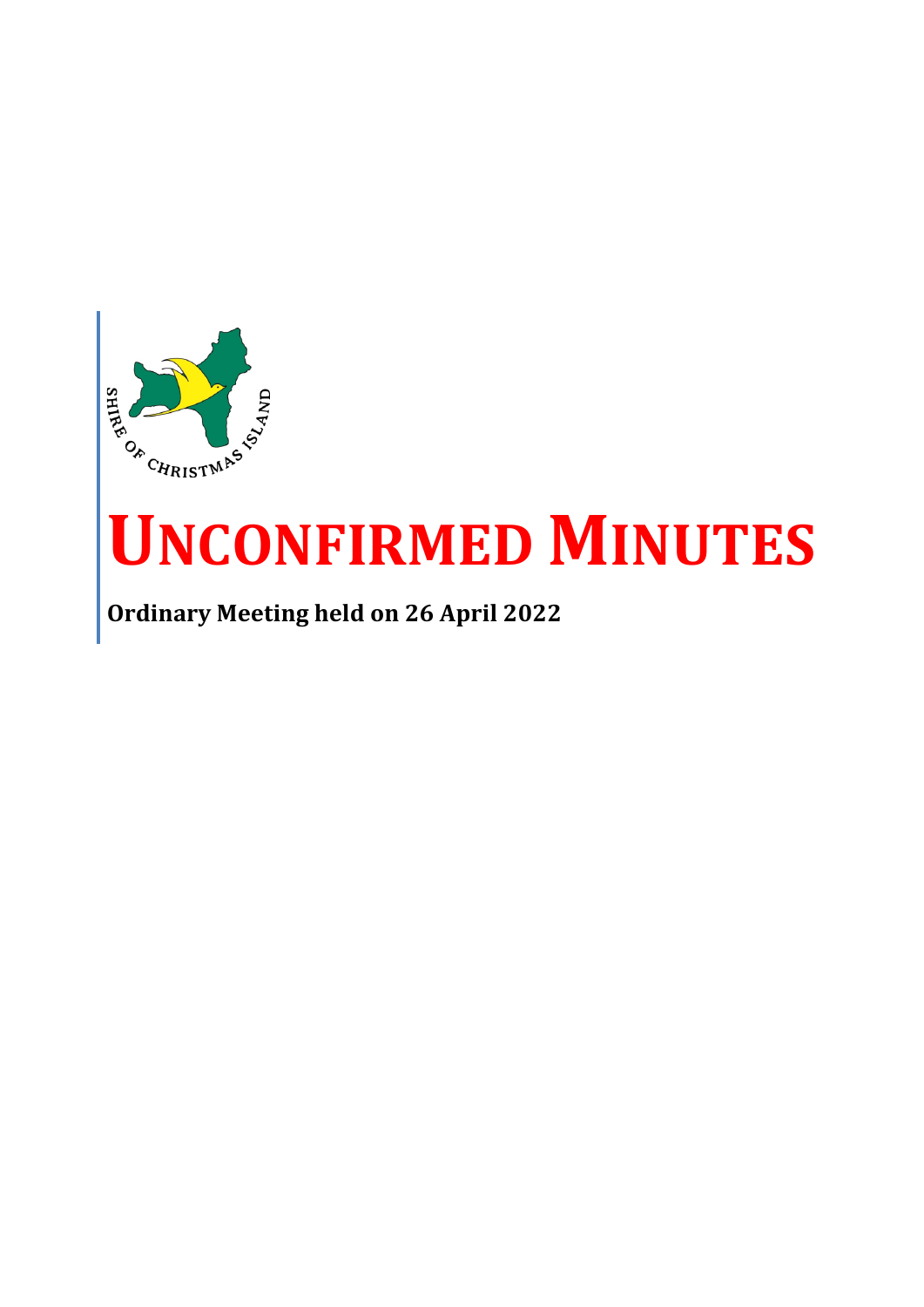

# **UNCONFIRMED MINUTES**

**Ordinary Meeting held on 26 April 2022**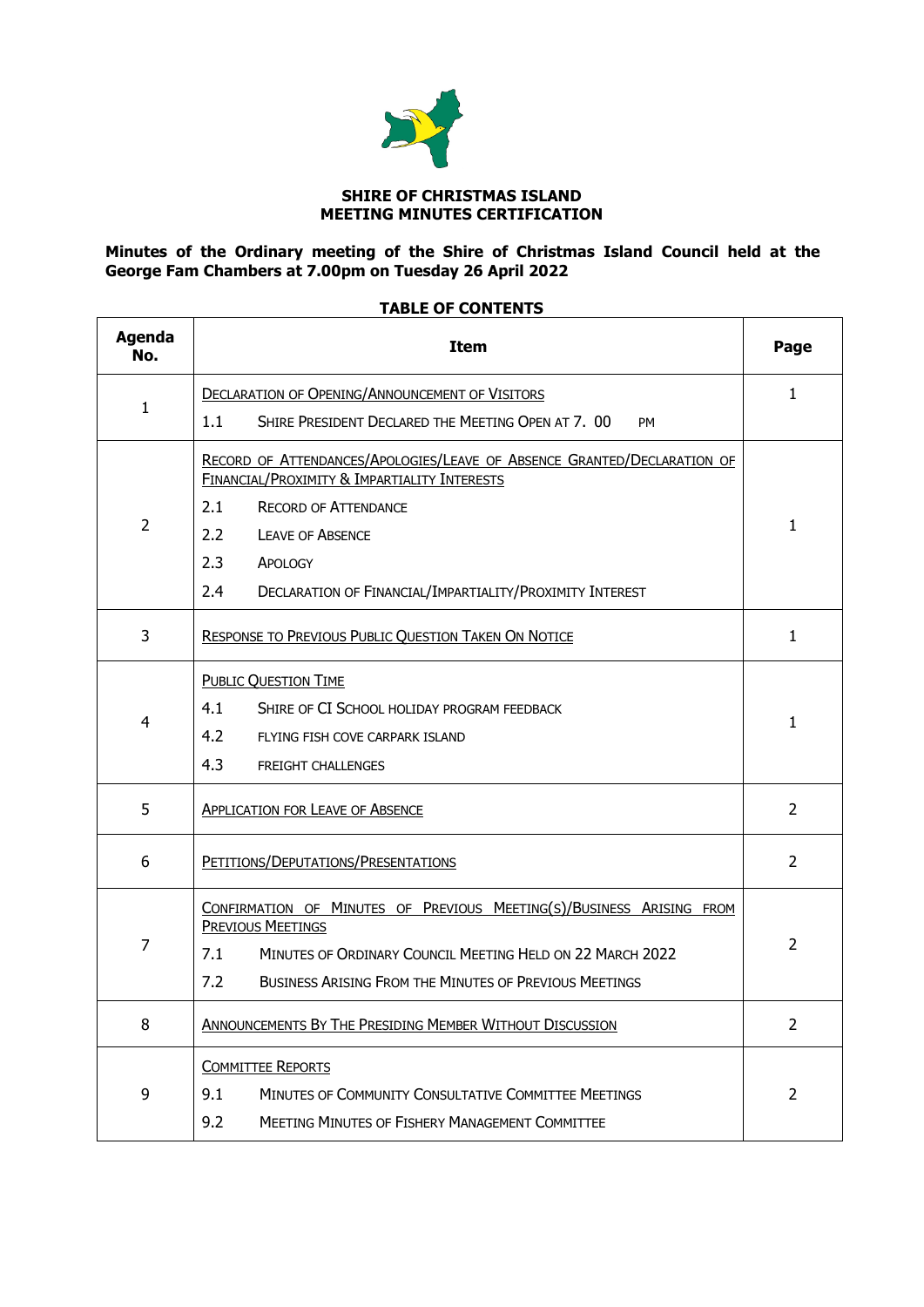

#### **SHIRE OF CHRISTMAS ISLAND MEETING MINUTES CERTIFICATION**

#### **Minutes of the Ordinary meeting of the Shire of Christmas Island Council held at the George Fam Chambers at 7.00pm on Tuesday 26 April 2022**

## **TABLE OF CONTENTS**

| <b>Agenda</b><br>No. | <b>Item</b>                                                                                                             |              |  |  |  |  |
|----------------------|-------------------------------------------------------------------------------------------------------------------------|--------------|--|--|--|--|
|                      | <b>DECLARATION OF OPENING/ANNOUNCEMENT OF VISITORS</b>                                                                  |              |  |  |  |  |
| 1                    | 1.1<br>SHIRE PRESIDENT DECLARED THE MEETING OPEN AT 7. 00<br><b>PM</b>                                                  |              |  |  |  |  |
|                      | RECORD OF ATTENDANCES/APOLOGIES/LEAVE OF ABSENCE GRANTED/DECLARATION OF<br>FINANCIAL/PROXIMITY & IMPARTIALITY INTERESTS |              |  |  |  |  |
|                      | 2.1<br><b>RECORD OF ATTENDANCE</b>                                                                                      |              |  |  |  |  |
| 2                    | $2.2\phantom{0}$<br><b>LEAVE OF ABSENCE</b>                                                                             | 1            |  |  |  |  |
|                      | 2.3<br>APOLOGY                                                                                                          |              |  |  |  |  |
|                      | 2.4<br>DECLARATION OF FINANCIAL/IMPARTIALITY/PROXIMITY INTEREST                                                         |              |  |  |  |  |
| 3                    | RESPONSE TO PREVIOUS PUBLIC QUESTION TAKEN ON NOTICE                                                                    | $\mathbf{1}$ |  |  |  |  |
|                      | <b>PUBLIC QUESTION TIME</b>                                                                                             |              |  |  |  |  |
|                      | 4.1<br>SHIRE OF CI SCHOOL HOLIDAY PROGRAM FEEDBACK                                                                      |              |  |  |  |  |
| 4                    | 4.2<br>FLYING FISH COVE CARPARK ISLAND                                                                                  |              |  |  |  |  |
|                      | 4.3<br><b>FREIGHT CHALLENGES</b>                                                                                        |              |  |  |  |  |
| 5                    | <b>APPLICATION FOR LEAVE OF ABSENCE</b>                                                                                 |              |  |  |  |  |
| 6                    | PETITIONS/DEPUTATIONS/PRESENTATIONS                                                                                     |              |  |  |  |  |
|                      | CONFIRMATION OF MINUTES OF PREVIOUS MEETING(S)/BUSINESS ARISING FROM<br><b>PREVIOUS MEETINGS</b>                        |              |  |  |  |  |
| $\overline{7}$       | 7.1<br>MINUTES OF ORDINARY COUNCIL MEETING HELD ON 22 MARCH 2022                                                        |              |  |  |  |  |
|                      | 7.2<br>BUSINESS ARISING FROM THE MINUTES OF PREVIOUS MEETINGS                                                           |              |  |  |  |  |
| 8                    | ANNOUNCEMENTS BY THE PRESIDING MEMBER WITHOUT DISCUSSION                                                                |              |  |  |  |  |
|                      | <b>COMMITTEE REPORTS</b>                                                                                                |              |  |  |  |  |
| 9                    | 9.1<br><b>MINUTES OF COMMUNITY CONSULTATIVE COMMITTEE MEETINGS</b>                                                      |              |  |  |  |  |
|                      | 9.2<br><b>MEETING MINUTES OF FISHERY MANAGEMENT COMMITTEE</b>                                                           |              |  |  |  |  |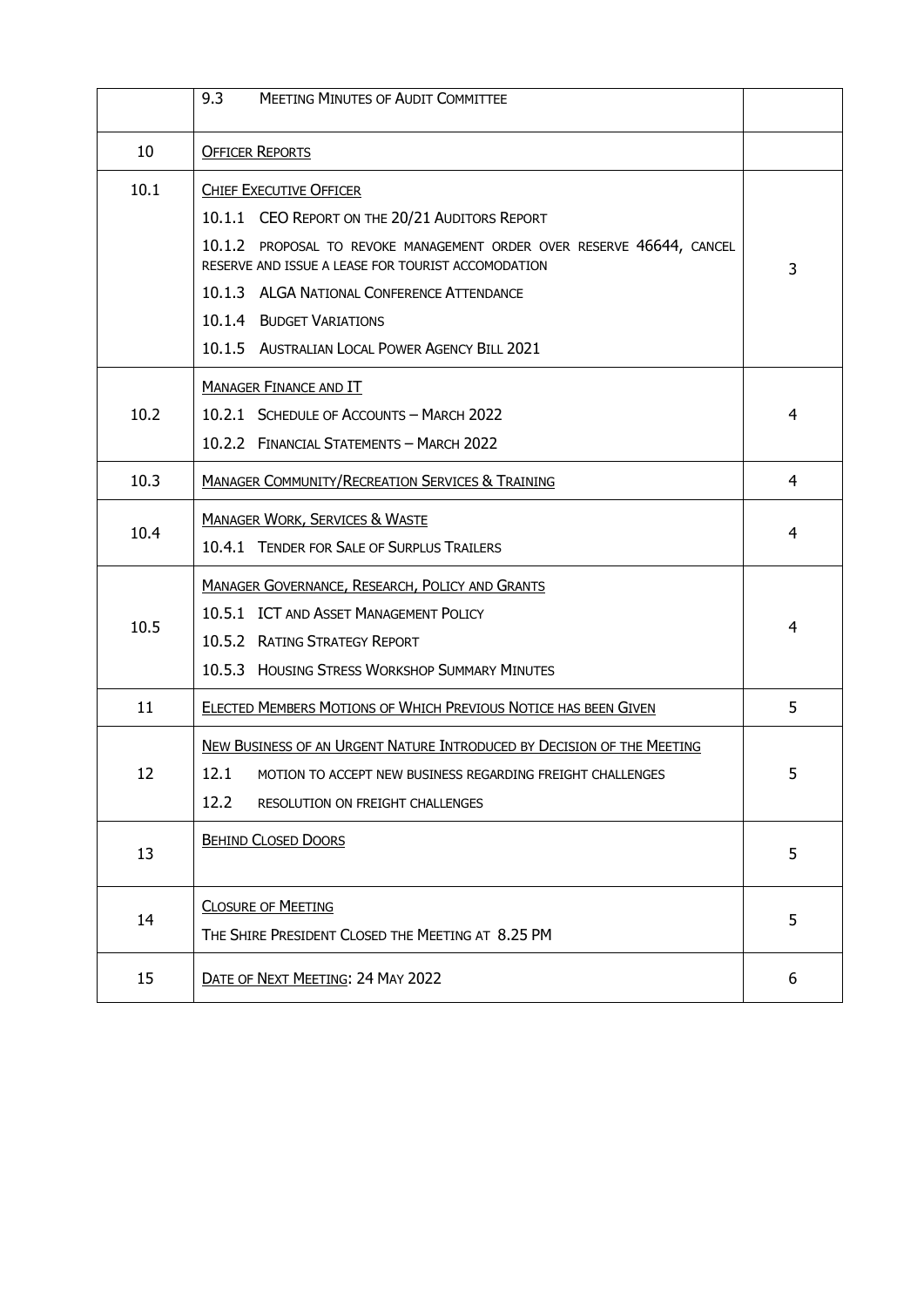|      | 9.3<br><b>MEETING MINUTES OF AUDIT COMMITTEE</b>                                                                            |   |
|------|-----------------------------------------------------------------------------------------------------------------------------|---|
| 10   | <b>OFFICER REPORTS</b>                                                                                                      |   |
| 10.1 | <b>CHIEF EXECUTIVE OFFICER</b><br>10.1.1 CEO REPORT ON THE 20/21 AUDITORS REPORT                                            |   |
|      | 10.1.2 PROPOSAL TO REVOKE MANAGEMENT ORDER OVER RESERVE 46644, CANCEL<br>RESERVE AND ISSUE A LEASE FOR TOURIST ACCOMODATION | 3 |
|      | 10.1.3 ALGA NATIONAL CONFERENCE ATTENDANCE                                                                                  |   |
|      | 10.1.4 BUDGET VARIATIONS                                                                                                    |   |
|      | 10.1.5 AUSTRALIAN LOCAL POWER AGENCY BILL 2021                                                                              |   |
|      | <b>MANAGER FINANCE AND IT</b>                                                                                               |   |
| 10.2 | 10.2.1 SCHEDULE OF ACCOUNTS - MARCH 2022                                                                                    | 4 |
|      | 10.2.2 FINANCIAL STATEMENTS - MARCH 2022                                                                                    |   |
| 10.3 | <b>MANAGER COMMUNITY/RECREATION SERVICES &amp; TRAINING</b>                                                                 | 4 |
|      | <b>MANAGER WORK, SERVICES &amp; WASTE</b>                                                                                   |   |
| 10.4 | 10.4.1 TENDER FOR SALE OF SURPLUS TRAILERS                                                                                  | 4 |
|      | <b>MANAGER GOVERNANCE, RESEARCH, POLICY AND GRANTS</b>                                                                      |   |
|      | 10.5.1 ICT AND ASSET MANAGEMENT POLICY                                                                                      |   |
| 10.5 | 10.5.2 RATING STRATEGY REPORT                                                                                               | 4 |
|      | 10.5.3 HOUSING STRESS WORKSHOP SUMMARY MINUTES                                                                              |   |
| 11   | ELECTED MEMBERS MOTIONS OF WHICH PREVIOUS NOTICE HAS BEEN GIVEN                                                             | 5 |
|      | NEW BUSINESS OF AN URGENT NATURE INTRODUCED BY DECISION OF THE MEETING                                                      |   |
| 12   | 12.1<br>MOTION TO ACCEPT NEW BUSINESS REGARDING FREIGHT CHALLENGES                                                          | 5 |
|      | 12.2<br>RESOLUTION ON FREIGHT CHALLENGES                                                                                    |   |
|      | <b>BEHIND CLOSED DOORS</b>                                                                                                  |   |
| 13   |                                                                                                                             | 5 |
|      | <b>CLOSURE OF MEETING</b>                                                                                                   | 5 |
| 14   | THE SHIRE PRESIDENT CLOSED THE MEETING AT 8.25 PM                                                                           |   |
| 15   | DATE OF NEXT MEETING: 24 MAY 2022                                                                                           | 6 |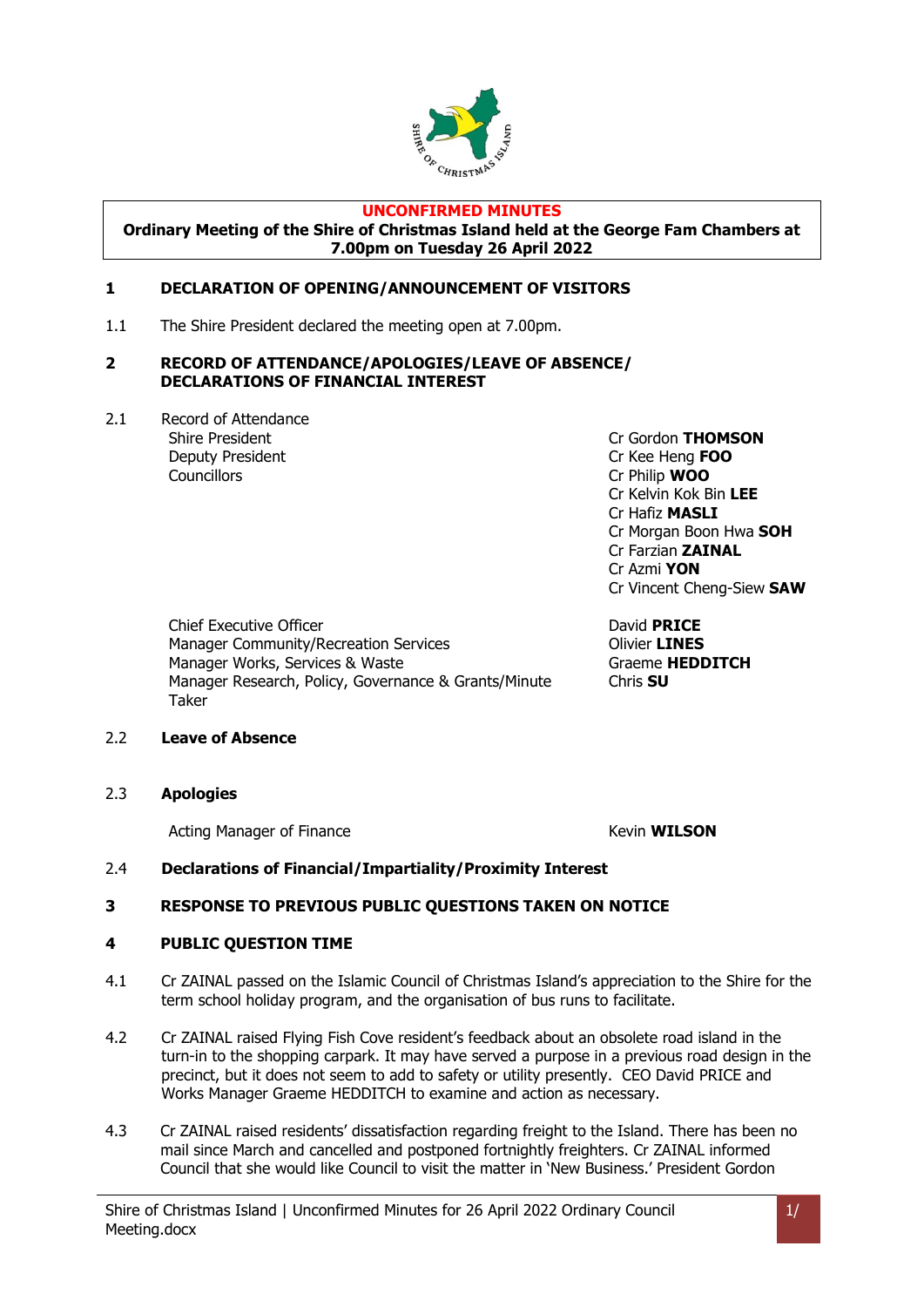

#### **UNCONFIRMED MINUTES**

**Ordinary Meeting of the Shire of Christmas Island held at the George Fam Chambers at 7.00pm on Tuesday 26 April 2022**

#### <span id="page-3-0"></span>**1 DECLARATION OF OPENING/ANNOUNCEMENT OF VISITORS**

1.1 The Shire President declared the meeting open at 7.00pm.

#### <span id="page-3-1"></span>**2 RECORD OF ATTENDANCE/APOLOGIES/LEAVE OF ABSENCE/ DECLARATIONS OF FINANCIAL INTEREST**

2.1 Record of Attendance Deputy President Cr Kee Heng **FOO** Councillors Cr Philip **WOO**

Shire President Cr Gordon **THOMSON** Cr Kelvin Kok Bin **LEE** Cr Hafiz **MASLI** Cr Morgan Boon Hwa **SOH** Cr Farzian **ZAINAL** Cr Azmi **YON** Cr Vincent Cheng-Siew **SAW**

Chief Executive Officer **David PRICE** Manager Community/Recreation Services **Community/Recreation Services** Manager Works, Services & Waste Graeme **HEDDITCH** Manager Research, Policy, Governance & Grants/Minute Taker

Chris **SU**

#### 2.2 **Leave of Absence**

2.3 **Apologies**

Acting Manager of Finance **Kevin WILSON** 

#### 2.4 **Declarations of Financial/Impartiality/Proximity Interest**

#### <span id="page-3-2"></span>**3 RESPONSE TO PREVIOUS PUBLIC QUESTIONS TAKEN ON NOTICE**

#### <span id="page-3-3"></span>**4 PUBLIC QUESTION TIME**

- 4.1 Cr ZAINAL passed on the Islamic Council of Christmas Island's appreciation to the Shire for the term school holiday program, and the organisation of bus runs to facilitate.
- 4.2 Cr ZAINAL raised Flying Fish Cove resident's feedback about an obsolete road island in the turn-in to the shopping carpark. It may have served a purpose in a previous road design in the precinct, but it does not seem to add to safety or utility presently. CEO David PRICE and Works Manager Graeme HEDDITCH to examine and action as necessary.
- 4.3 Cr ZAINAL raised residents' dissatisfaction regarding freight to the Island. There has been no mail since March and cancelled and postponed fortnightly freighters. Cr ZAINAL informed Council that she would like Council to visit the matter in 'New Business.' President Gordon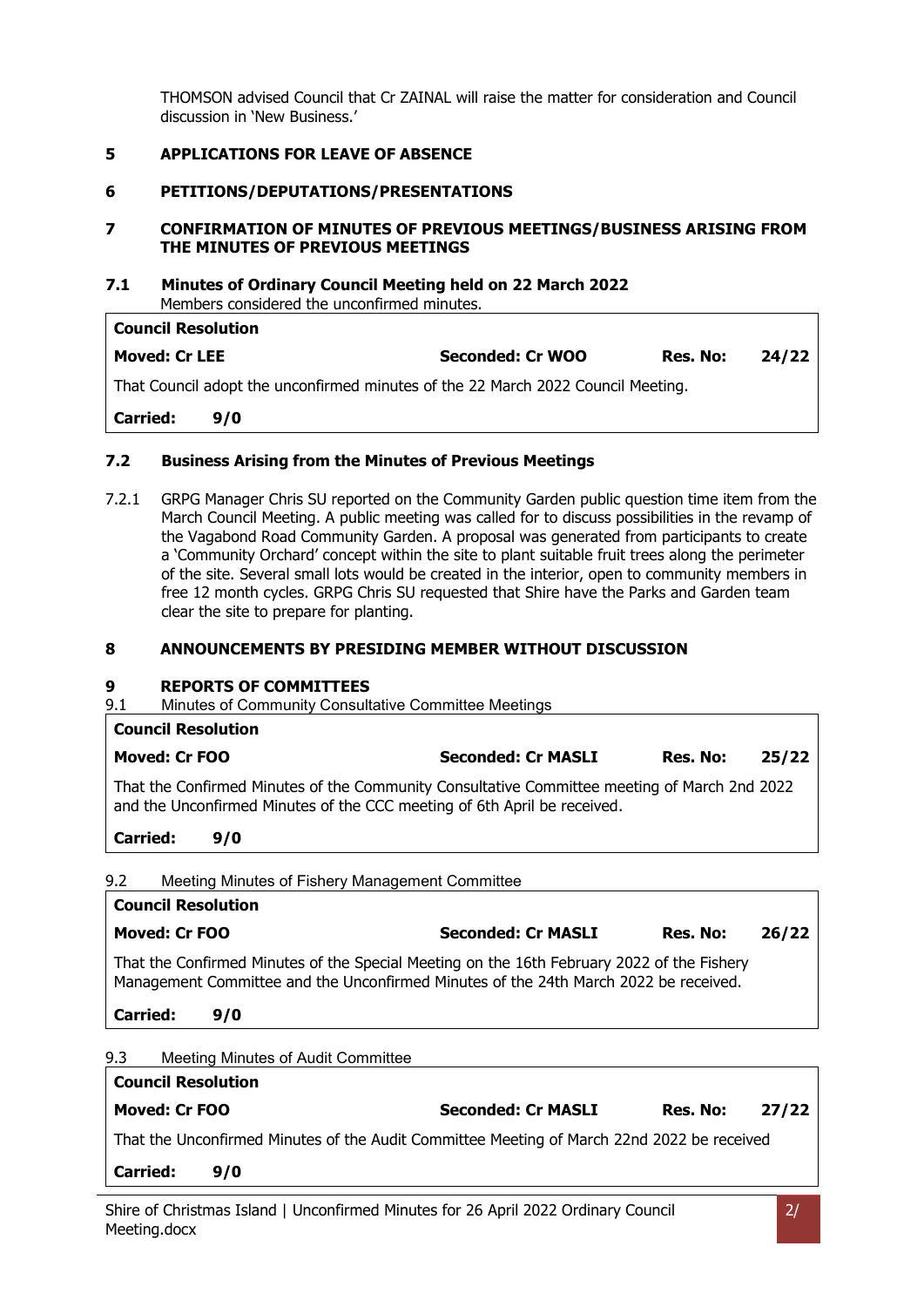THOMSON advised Council that Cr ZAINAL will raise the matter for consideration and Council discussion in 'New Business.'

#### <span id="page-4-0"></span>**5 APPLICATIONS FOR LEAVE OF ABSENCE**

#### <span id="page-4-1"></span>**6 PETITIONS/DEPUTATIONS/PRESENTATIONS**

#### <span id="page-4-2"></span>**7 CONFIRMATION OF MINUTES OF PREVIOUS MEETINGS/BUSINESS ARISING FROM THE MINUTES OF PREVIOUS MEETINGS**

## **7.1 Minutes of Ordinary Council Meeting held on 22 March 2022**

Members considered the unconfirmed minutes.

| <b>Council Resolution</b>                                                        |     |                  |          |       |  |
|----------------------------------------------------------------------------------|-----|------------------|----------|-------|--|
| <b>Moved: Cr LEE</b>                                                             |     | Seconded: Cr WOO | Res. No: | 24/22 |  |
| That Council adopt the unconfirmed minutes of the 22 March 2022 Council Meeting. |     |                  |          |       |  |
| Carried:                                                                         | 9/0 |                  |          |       |  |
|                                                                                  |     |                  |          |       |  |

#### **7.2 Business Arising from the Minutes of Previous Meetings**

7.2.1 GRPG Manager Chris SU reported on the Community Garden public question time item from the March Council Meeting. A public meeting was called for to discuss possibilities in the revamp of the Vagabond Road Community Garden. A proposal was generated from participants to create a 'Community Orchard' concept within the site to plant suitable fruit trees along the perimeter of the site. Several small lots would be created in the interior, open to community members in free 12 month cycles. GRPG Chris SU requested that Shire have the Parks and Garden team clear the site to prepare for planting.

#### <span id="page-4-3"></span>**8 ANNOUNCEMENTS BY PRESIDING MEMBER WITHOUT DISCUSSION**

#### <span id="page-4-4"></span>**9 REPORTS OF COMMITTEES**

9.1 Minutes of Community Consultative Committee Meetings

#### **Council Resolution**

| Moved: Cr FOO                                                                                                                                                            | <b>Seconded: Cr MASLI</b> | Res. No: | 25/22 |
|--------------------------------------------------------------------------------------------------------------------------------------------------------------------------|---------------------------|----------|-------|
| That the Confirmed Minutes of the Community Consultative Committee meeting of March 2nd 2022<br>and the Unconfirmed Minutes of the CCC meeting of 6th April be received. |                           |          |       |

**Carried: 9/0**

9.2 Meeting Minutes of Fishery Management Committee

## **Council Resolution Moved: Cr FOO Seconded: Cr MASLI Res. No: 26/22** That the Confirmed Minutes of the Special Meeting on the 16th February 2022 of the Fishery Management Committee and the Unconfirmed Minutes of the 24th March 2022 be received. **Carried: 9/0**

| 9.3 | Meeting Minutes of Audit Committee |
|-----|------------------------------------|
|     |                                    |

| <b>Council Resolution</b>                                                                  |     |                           |          |       |  |  |
|--------------------------------------------------------------------------------------------|-----|---------------------------|----------|-------|--|--|
| Moved: Cr FOO                                                                              |     | <b>Seconded: Cr MASLI</b> | Res. No: | 27/22 |  |  |
| That the Unconfirmed Minutes of the Audit Committee Meeting of March 22nd 2022 be received |     |                           |          |       |  |  |
| Carried:                                                                                   | 9/0 |                           |          |       |  |  |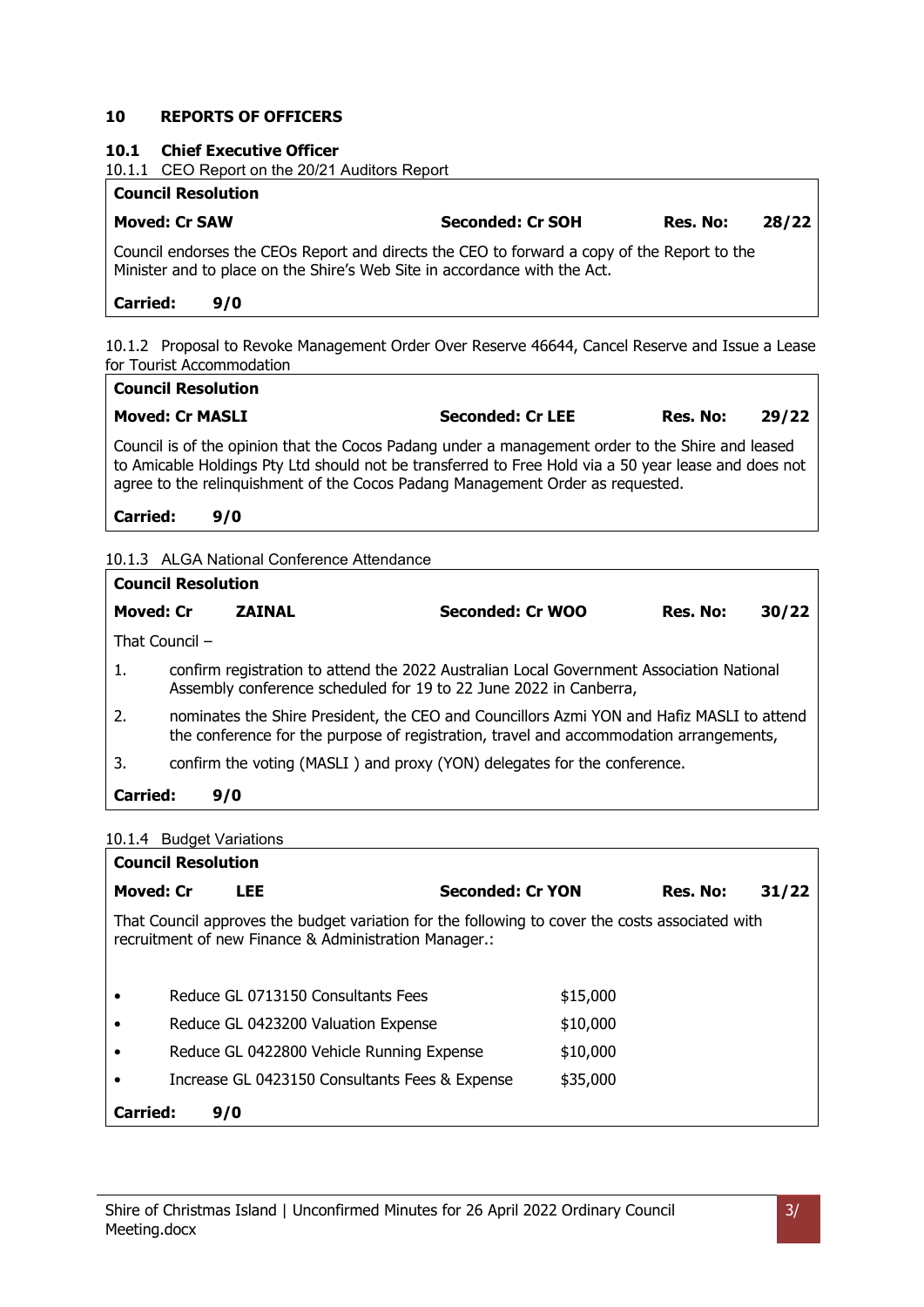#### **10 REPORTS OF OFFICERS**

#### <span id="page-5-0"></span>**10.1 Chief Executive Officer**

10.1.1 CEO Report on the 20/21 Auditors Report

#### **Council Resolution**

## **Moved: Cr SAW Seconded: Cr SOH Res. No: 28/22**

Council endorses the CEOs Report and directs the CEO to forward a copy of the Report to the Minister and to place on the Shire's Web Site in accordance with the Act.

#### **Carried: 9/0**

10.1.2 Proposal to Revoke Management Order Over Reserve 46644, Cancel Reserve and Issue a Lease for Tourist Accommodation

## **Council Resolution Moved: Cr MASLI Seconded: Cr LEE Res. No: 29/22**

Council is of the opinion that the Cocos Padang under a management order to the Shire and leased to Amicable Holdings Pty Ltd should not be transferred to Free Hold via a 50 year lease and does not agree to the relinquishment of the Cocos Padang Management Order as requested.

#### **Carried: 9/0**

#### 10.1.3 ALGA National Conference Attendance

| <b>Council Resolution</b> |                                                                                                                                                                                     |               |                                                                                                                                                               |          |       |  |
|---------------------------|-------------------------------------------------------------------------------------------------------------------------------------------------------------------------------------|---------------|---------------------------------------------------------------------------------------------------------------------------------------------------------------|----------|-------|--|
| <b>Moved: Cr</b>          |                                                                                                                                                                                     | <b>ZAINAL</b> | Seconded: Cr WOO                                                                                                                                              | Res. No: | 30/22 |  |
|                           | That Council $-$                                                                                                                                                                    |               |                                                                                                                                                               |          |       |  |
| 1.                        |                                                                                                                                                                                     |               | confirm registration to attend the 2022 Australian Local Government Association National<br>Assembly conference scheduled for 19 to 22 June 2022 in Canberra, |          |       |  |
| $\overline{2}$ .          | nominates the Shire President, the CEO and Councillors Azmi YON and Hafiz MASLI to attend<br>the conference for the purpose of registration, travel and accommodation arrangements, |               |                                                                                                                                                               |          |       |  |
| 3.                        |                                                                                                                                                                                     |               | confirm the voting (MASLI) and proxy (YON) delegates for the conference.                                                                                      |          |       |  |
| <b>Carried:</b>           | 9/0                                                                                                                                                                                 |               |                                                                                                                                                               |          |       |  |
|                           |                                                                                                                                                                                     |               |                                                                                                                                                               |          |       |  |

#### 10.1.4 Budget Variations

| <b>Council Resolution</b> |  |                                                                                                                                                          |                         |          |          |       |  |
|---------------------------|--|----------------------------------------------------------------------------------------------------------------------------------------------------------|-------------------------|----------|----------|-------|--|
| <b>Moved: Cr</b>          |  | LEE                                                                                                                                                      | <b>Seconded: Cr YON</b> |          | Res. No: | 31/22 |  |
|                           |  | That Council approves the budget variation for the following to cover the costs associated with<br>recruitment of new Finance & Administration Manager.: |                         |          |          |       |  |
| $\bullet$                 |  | Reduce GL 0713150 Consultants Fees                                                                                                                       |                         | \$15,000 |          |       |  |
| $\bullet$                 |  | Reduce GL 0423200 Valuation Expense                                                                                                                      |                         | \$10,000 |          |       |  |
| $\bullet$                 |  | Reduce GL 0422800 Vehicle Running Expense                                                                                                                |                         | \$10,000 |          |       |  |
|                           |  | Increase GL 0423150 Consultants Fees & Expense                                                                                                           |                         | \$35,000 |          |       |  |
| <b>Carried:</b><br>9/0    |  |                                                                                                                                                          |                         |          |          |       |  |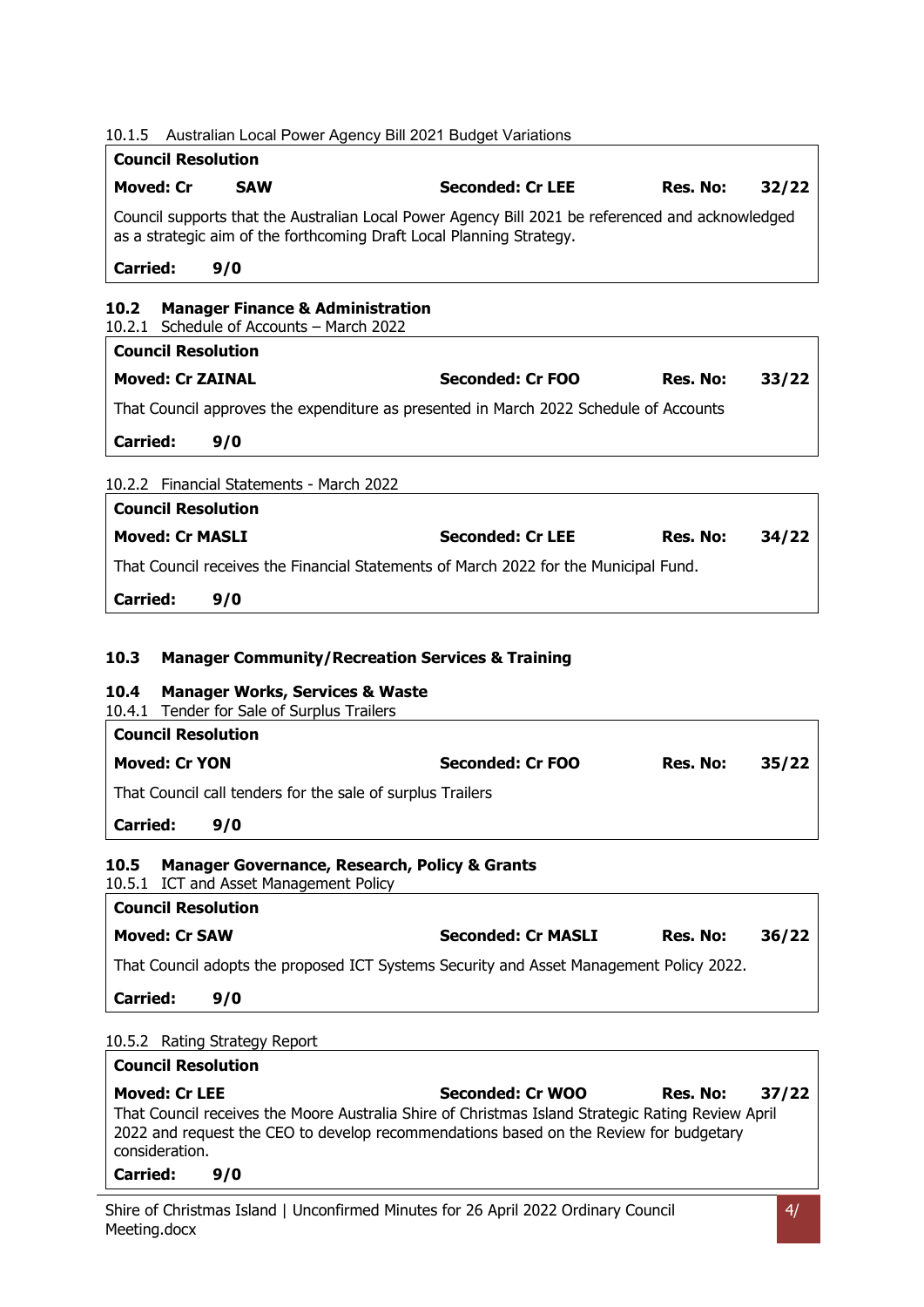<span id="page-6-3"></span><span id="page-6-2"></span><span id="page-6-1"></span><span id="page-6-0"></span>

| 10.1.5                                                              |                                                                                         | Australian Local Power Agency Bill 2021 Budget Variations                                                                                                                                                      |          |       |
|---------------------------------------------------------------------|-----------------------------------------------------------------------------------------|----------------------------------------------------------------------------------------------------------------------------------------------------------------------------------------------------------------|----------|-------|
| <b>Council Resolution</b>                                           |                                                                                         |                                                                                                                                                                                                                |          |       |
| Moved: Cr                                                           | <b>SAW</b>                                                                              | <b>Seconded: Cr LEE</b>                                                                                                                                                                                        | Res. No: | 32/22 |
|                                                                     |                                                                                         | Council supports that the Australian Local Power Agency Bill 2021 be referenced and acknowledged<br>as a strategic aim of the forthcoming Draft Local Planning Strategy.                                       |          |       |
| <b>Carried:</b>                                                     | 9/0                                                                                     |                                                                                                                                                                                                                |          |       |
| 10.2                                                                | <b>Manager Finance &amp; Administration</b><br>10.2.1 Schedule of Accounts - March 2022 |                                                                                                                                                                                                                |          |       |
| <b>Council Resolution</b>                                           |                                                                                         |                                                                                                                                                                                                                |          |       |
| <b>Moved: Cr ZAINAL</b>                                             |                                                                                         | <b>Seconded: Cr FOO</b>                                                                                                                                                                                        | Res. No: | 33/22 |
|                                                                     |                                                                                         | That Council approves the expenditure as presented in March 2022 Schedule of Accounts                                                                                                                          |          |       |
| <b>Carried:</b>                                                     | 9/0                                                                                     |                                                                                                                                                                                                                |          |       |
|                                                                     | 10.2.2 Financial Statements - March 2022                                                |                                                                                                                                                                                                                |          |       |
| <b>Council Resolution</b>                                           |                                                                                         |                                                                                                                                                                                                                |          |       |
| <b>Moved: Cr MASLI</b>                                              |                                                                                         | <b>Seconded: Cr LEE</b>                                                                                                                                                                                        | Res. No: | 34/22 |
|                                                                     |                                                                                         | That Council receives the Financial Statements of March 2022 for the Municipal Fund.                                                                                                                           |          |       |
| Carried:                                                            | 9/0                                                                                     |                                                                                                                                                                                                                |          |       |
| 10.4<br>10.4.1<br><b>Council Resolution</b><br><b>Moved: Cr YON</b> | <b>Manager Works, Services &amp; Waste</b><br>Tender for Sale of Surplus Trailers       | Seconded: Cr FOO                                                                                                                                                                                               | Res. No: | 35/22 |
|                                                                     |                                                                                         |                                                                                                                                                                                                                |          |       |
|                                                                     |                                                                                         | That Council call tenders for the sale of surplus Trailers                                                                                                                                                     |          |       |
| <b>Carried:</b>                                                     | 9/0                                                                                     |                                                                                                                                                                                                                |          |       |
| 10.5                                                                | 10.5.1 ICT and Asset Management Policy                                                  | <b>Manager Governance, Research, Policy &amp; Grants</b>                                                                                                                                                       |          |       |
| <b>Council Resolution</b>                                           |                                                                                         |                                                                                                                                                                                                                |          |       |
| <b>Moved: Cr SAW</b>                                                |                                                                                         | <b>Seconded: Cr MASLI</b>                                                                                                                                                                                      | Res. No: | 36/22 |
|                                                                     |                                                                                         | That Council adopts the proposed ICT Systems Security and Asset Management Policy 2022.                                                                                                                        |          |       |
| <b>Carried:</b>                                                     | 9/0                                                                                     |                                                                                                                                                                                                                |          |       |
| 10.5.2 Rating Strategy Report                                       |                                                                                         |                                                                                                                                                                                                                |          |       |
| <b>Council Resolution</b>                                           |                                                                                         |                                                                                                                                                                                                                |          |       |
| <b>Moved: Cr LEE</b><br>consideration.<br><b>Carried:</b>           | 9/0                                                                                     | Seconded: Cr WOO<br>That Council receives the Moore Australia Shire of Christmas Island Strategic Rating Review April<br>2022 and request the CEO to develop recommendations based on the Review for budgetary | Res. No: | 37/22 |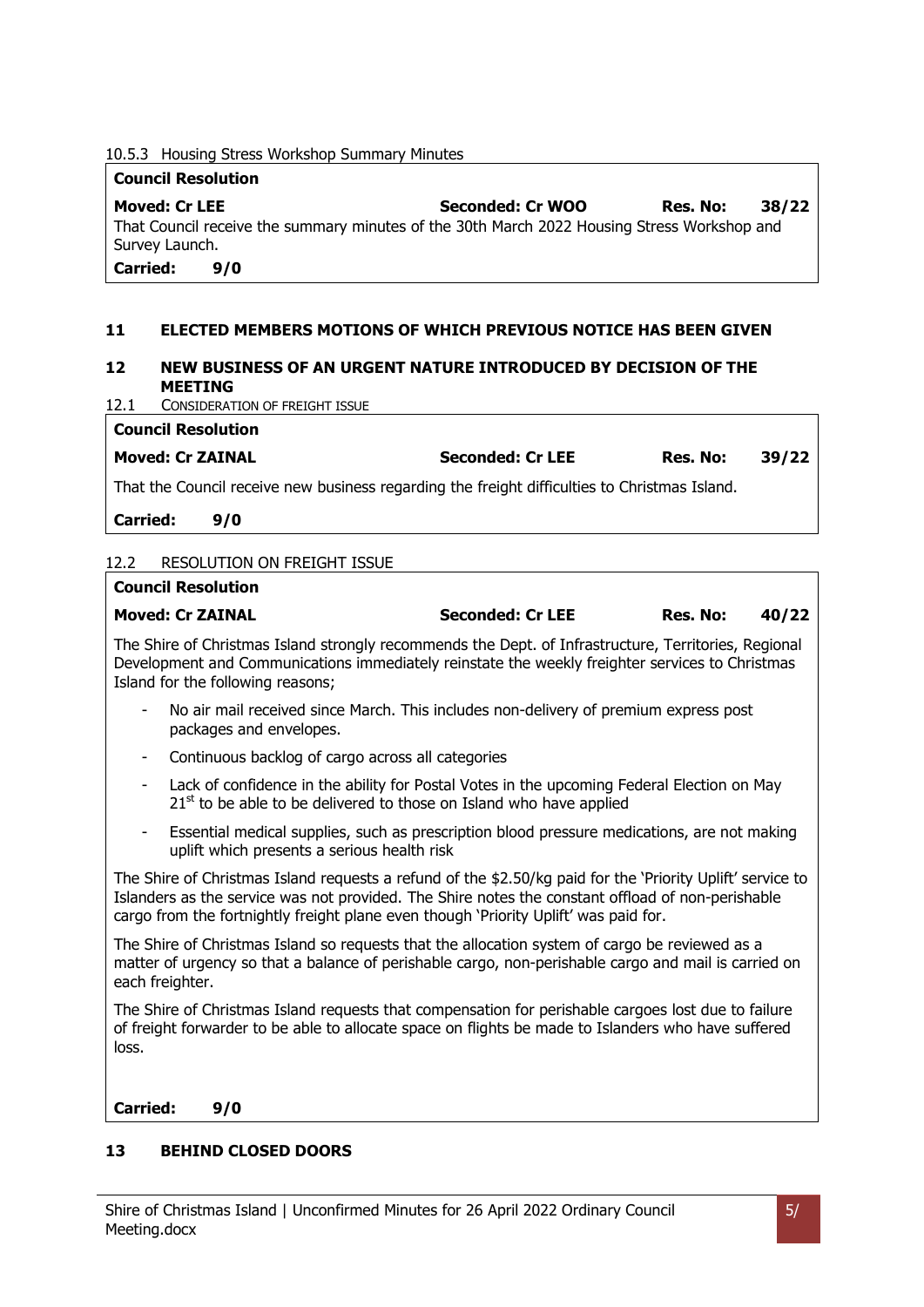10.5.3 Housing Stress Workshop Summary Minutes

#### **Council Resolution**

**Moved: Cr LEE Seconded: Cr WOO Res. No: 38/22** That Council receive the summary minutes of the 30th March 2022 Housing Stress Workshop and Survey Launch. **Carried: 9/0**

#### <span id="page-7-0"></span>**11 ELECTED MEMBERS MOTIONS OF WHICH PREVIOUS NOTICE HAS BEEN GIVEN**

#### <span id="page-7-1"></span>**12 NEW BUSINESS OF AN URGENT NATURE INTRODUCED BY DECISION OF THE MEETING**

12.1 CONSIDERATION OF FREIGHT ISSUE

**Moved: Cr ZAINAL Seconded: Cr LEE Res. No: 39/22**

That the Council receive new business regarding the freight difficulties to Christmas Island.

**Carried: 9/0**

**Council Resolution**

#### 12.2 RESOLUTION ON FREIGHT ISSUE

#### **Council Resolution**

#### **Moved: Cr ZAINAL Seconded: Cr LEE Res. No: 40/22**

The Shire of Christmas Island strongly recommends the Dept. of Infrastructure, Territories, Regional Development and Communications immediately reinstate the weekly freighter services to Christmas Island for the following reasons;

- No air mail received since March. This includes non-delivery of premium express post packages and envelopes.
- Continuous backlog of cargo across all categories
- Lack of confidence in the ability for Postal Votes in the upcoming Federal Election on May  $21<sup>st</sup>$  to be able to be delivered to those on Island who have applied
- Essential medical supplies, such as prescription blood pressure medications, are not making uplift which presents a serious health risk

The Shire of Christmas Island requests a refund of the \$2.50/kg paid for the 'Priority Uplift' service to Islanders as the service was not provided. The Shire notes the constant offload of non-perishable cargo from the fortnightly freight plane even though 'Priority Uplift' was paid for.

The Shire of Christmas Island so requests that the allocation system of cargo be reviewed as a matter of urgency so that a balance of perishable cargo, non-perishable cargo and mail is carried on each freighter.

The Shire of Christmas Island requests that compensation for perishable cargoes lost due to failure of freight forwarder to be able to allocate space on flights be made to Islanders who have suffered loss.

**Carried: 9/0**

#### <span id="page-7-2"></span>**13 BEHIND CLOSED DOORS**